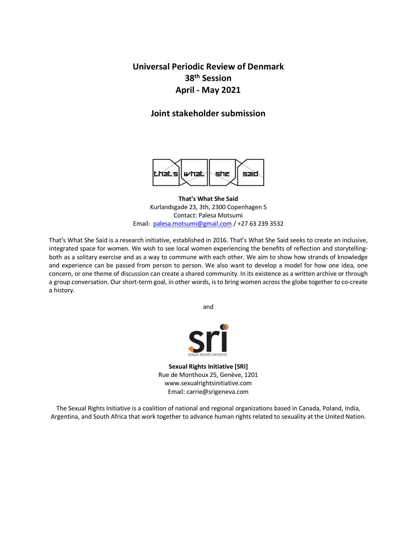**Universal Periodic Review of Denmark 38th Session April - May 2021**

# **Joint stakeholder submission**



**That's What She Said** Kurlandsgade 23, 3th, 2300 Copenhagen S Contact: Palesa Motsumi Email: palesa.motsumi@gmail.com / +27 63 239 3532

That's What She Said is a research initiative, established in 2016. That's What She Said seeks to create an inclusive, integrated space for women. We wish to see local women experiencing the benefits of reflection and storytellingboth as a solitary exercise and as a way to commune with each other. We aim to show how strands of knowledge and experience can be passed from person to person. We also want to develop a model for how one idea, one concern, or one theme of discussion can create a shared community. In its existence as a written archive or through a group conversation. Our short-term goal, in other words, is to bring women across the globe together to co-create a history.

and



**Sexual Rights Initiative [SRI]** Rue de Monthoux 25, Genève, 1201 www.sexualrightsinitiative.com Email: carrie@srigeneva.com

The Sexual Rights Initiative is a coalition of national and regional organizations based in Canada, Poland, India, Argentina, and South Africa that work together to advance human rights related to sexuality at the United Nation.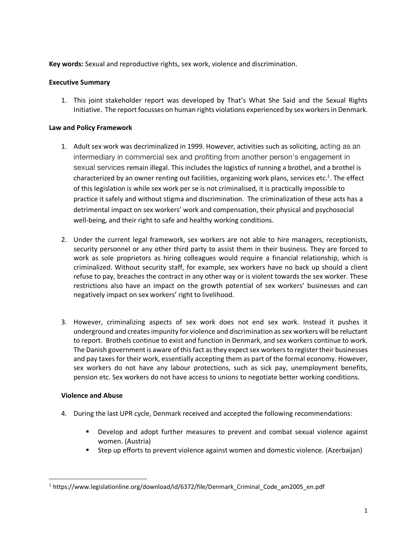**Key words:** Sexual and reproductive rights, sex work, violence and discrimination.

### **Executive Summary**

1. This joint stakeholder report was developed by That's What She Said and the Sexual Rights Initiative. The report focusses on human rights violations experienced by sex workers in Denmark.

### **Law and Policy Framework**

- 1. Adult sex work was decriminalized in 1999. However, activities such as soliciting, acting as an intermediary in commercial sex and profiting from another person's engagement in sexual services remain illegal. This includes the logistics of running a brothel, and a brothel is characterized by an owner renting out facilities, organizing work plans, services etc.<sup>1</sup>. The effect of this legislation is while sex work per se is not criminalised, it is practically impossible to practice it safely and without stigma and discrimination. The criminalization of these acts has a detrimental impact on sex workers' work and compensation, their physical and psychosocial well-being, and their right to safe and healthy working conditions.
- 2. Under the current legal framework, sex workers are not able to hire managers, receptionists, security personnel or any other third party to assist them in their business. They are forced to work as sole proprietors as hiring colleagues would require a financial relationship, which is criminalized. Without security staff, for example, sex workers have no back up should a client refuse to pay, breaches the contract in any other way or is violent towards the sex worker. These restrictions also have an impact on the growth potential of sex workers' businesses and can negatively impact on sex workers' right to livelihood.
- 3. However, criminalizing aspects of sex work does not end sex work. Instead it pushes it underground and creates impunity for violence and discrimination as sex workers will be reluctant to report. Brothels continue to exist and function in Denmark, and sex workers continue to work. The Danish government is aware of this fact as they expect sex workers to register their businesses and pay taxes for their work, essentially accepting them as part of the formal economy. However, sex workers do not have any labour protections, such as sick pay, unemployment benefits, pension etc. Sex workers do not have access to unions to negotiate better working conditions.

#### **Violence and Abuse**

- 4. During the last UPR cycle, Denmark received and accepted the following recommendations:
	- § Develop and adopt further measures to prevent and combat sexual violence against women. (Austria)
	- Step up efforts to prevent violence against women and domestic violence. (Azerbaijan)

<sup>&</sup>lt;sup>1</sup> https://www.legislationline.org/download/id/6372/file/Denmark Criminal Code am2005 en.pdf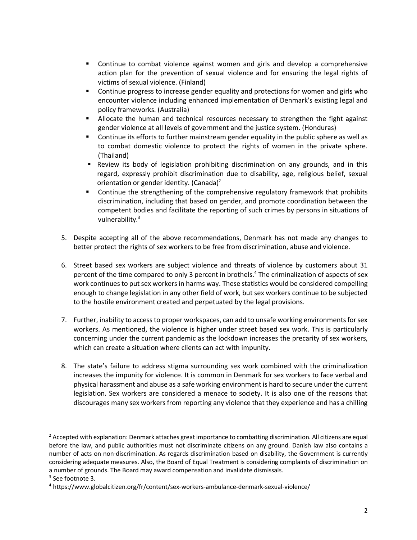- Continue to combat violence against women and girls and develop a comprehensive action plan for the prevention of sexual violence and for ensuring the legal rights of victims of sexual violence. (Finland)
- Continue progress to increase gender equality and protections for women and girls who encounter violence including enhanced implementation of Denmark's existing legal and policy frameworks. (Australia)
- **EXTE:** Allocate the human and technical resources necessary to strengthen the fight against gender violence at all levels of government and the justice system. (Honduras)
- § Continue its efforts to further mainstream gender equality in the public sphere as well as to combat domestic violence to protect the rights of women in the private sphere. (Thailand)
- **■** Review its body of legislation prohibiting discrimination on any grounds, and in this regard, expressly prohibit discrimination due to disability, age, religious belief, sexual orientation or gender identity. (Canada)2
- Continue the strengthening of the comprehensive regulatory framework that prohibits discrimination, including that based on gender, and promote coordination between the competent bodies and facilitate the reporting of such crimes by persons in situations of vulnerability.3
- 5. Despite accepting all of the above recommendations, Denmark has not made any changes to better protect the rights of sex workers to be free from discrimination, abuse and violence.
- 6. Street based sex workers are subject violence and threats of violence by customers about 31 percent of the time compared to only 3 percent in brothels.<sup>4</sup> The criminalization of aspects of sex work continues to put sex workers in harms way. These statistics would be considered compelling enough to change legislation in any other field of work, but sex workers continue to be subjected to the hostile environment created and perpetuated by the legal provisions.
- 7. Further, inability to access to proper workspaces, can add to unsafe working environmentsforsex workers. As mentioned, the violence is higher under street based sex work. This is particularly concerning under the current pandemic as the lockdown increases the precarity of sex workers, which can create a situation where clients can act with impunity.
- 8. The state's failure to address stigma surrounding sex work combined with the criminalization increases the impunity for violence. It is common in Denmark for sex workers to face verbal and physical harassment and abuse as a safe working environment is hard to secure under the current legislation. Sex workers are considered a menace to society. It is also one of the reasons that discourages many sex workers from reporting any violence that they experience and has a chilling

 $<sup>2</sup>$  Accepted with explanation: Denmark attaches great importance to combatting discrimination. All citizens are equal</sup> before the law, and public authorities must not discriminate citizens on any ground. Danish law also contains a number of acts on non-discrimination. As regards discrimination based on disability, the Government is currently considering adequate measures. Also, the Board of Equal Treatment is considering complaints of discrimination on a number of grounds. The Board may award compensation and invalidate dismissals.

<sup>&</sup>lt;sup>3</sup> See footnote 3.

<sup>4</sup> https://www.globalcitizen.org/fr/content/sex-workers-ambulance-denmark-sexual-violence/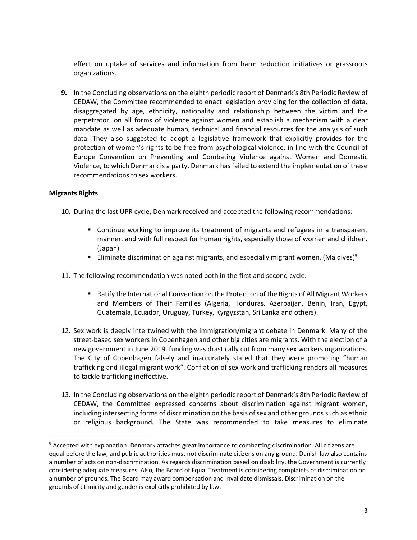effect on uptake of services and information from harm reduction initiatives or grassroots organizations.

**9.** In the Concluding observations on the eighth periodic report of Denmark's 8th Periodic Review of CEDAW, the Committee recommended to enact legislation providing for the collection of data, disaggregated by age, ethnicity, nationality and relationship between the victim and the perpetrator, on all forms of violence against women and establish a mechanism with a clear mandate as well as adequate human, technical and financial resources for the analysis of such data. They also suggested to adopt a legislative framework that explicitly provides for the protection of women's rights to be free from psychological violence, in line with the Council of Europe Convention on Preventing and Combating Violence against Women and Domestic Violence, to which Denmark is a party. Denmark has failed to extend the implementation of these recommendations to sex workers.

## **Migrants Rights**

- 10. During the last UPR cycle, Denmark received and accepted the following recommendations:
	- Continue working to improve its treatment of migrants and refugees in a transparent manner, and with full respect for human rights, especially those of women and children. (Japan)
	- Eliminate discrimination against migrants, and especially migrant women. (Maldives)<sup>5</sup>
- 11. The following recommendation was noted both in the first and second cycle:
	- Ratify the International Convention on the Protection of the Rights of All Migrant Workers and Members of Their Families (Algeria, Honduras, Azerbaijan, Benin, Iran, Egypt, Guatemala, Ecuador, Uruguay, Turkey, Kyrgyzstan, Sri Lanka and others).
- 12. Sex work is deeply intertwined with the immigration/migrant debate in Denmark. Many of the street-based sex workers in Copenhagen and other big cities are migrants. With the election of a new government in June 2019, funding was drastically cut from many sex workers organizations. The City of Copenhagen falsely and inaccurately stated that they were promoting "human trafficking and illegal migrant work". Conflation of sex work and trafficking renders all measures to tackle trafficking ineffective.
- 13. In the Concluding observations on the eighth periodic report of Denmark's 8th Periodic Review of CEDAW, the Committee expressed concerns about discrimination against migrant women, including intersecting forms of discrimination on the basis of sex and other grounds such as ethnic or religious background**.** The State was recommended to take measures to eliminate

 <sup>5</sup> Accepted with explanation: Denmark attaches great importance to combatting discrimination. All citizens are equal before the law, and public authorities must not discriminate citizens on any ground. Danish law also contains a number of acts on non-discrimination. As regards discrimination based on disability, the Government is currently considering adequate measures. Also, the Board of Equal Treatment is considering complaints of discrimination on a number of grounds. The Board may award compensation and invalidate dismissals. Discrimination on the grounds of ethnicity and gender is explicitly prohibited by law.